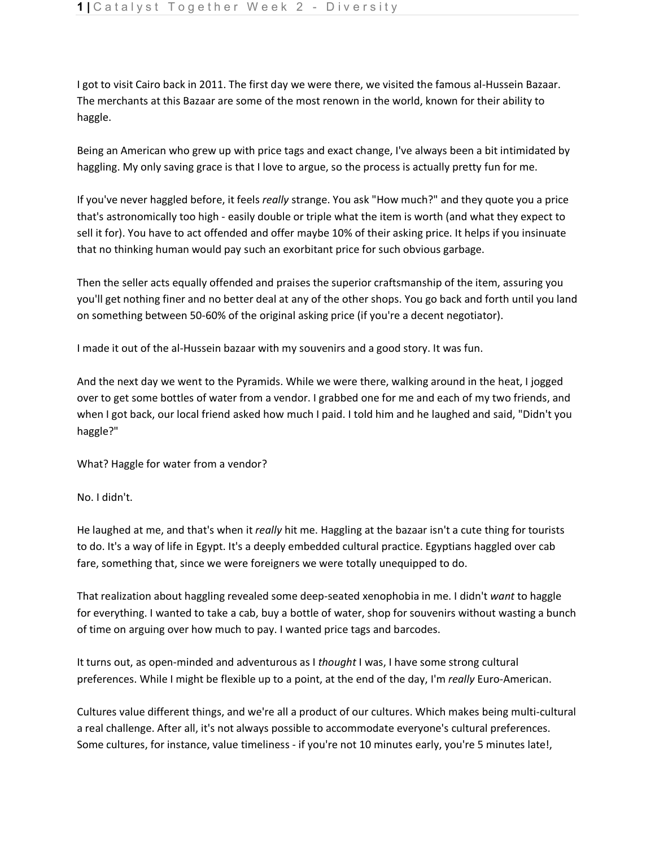I got to visit Cairo back in 2011. The first day we were there, we visited the famous al-Hussein Bazaar. The merchants at this Bazaar are some of the most renown in the world, known for their ability to haggle.

Being an American who grew up with price tags and exact change, I've always been a bit intimidated by haggling. My only saving grace is that I love to argue, so the process is actually pretty fun for me.

If you've never haggled before, it feels *really* strange. You ask "How much?" and they quote you a price that's astronomically too high - easily double or triple what the item is worth (and what they expect to sell it for). You have to act offended and offer maybe 10% of their asking price. It helps if you insinuate that no thinking human would pay such an exorbitant price for such obvious garbage.

Then the seller acts equally offended and praises the superior craftsmanship of the item, assuring you you'll get nothing finer and no better deal at any of the other shops. You go back and forth until you land on something between 50-60% of the original asking price (if you're a decent negotiator).

I made it out of the al-Hussein bazaar with my souvenirs and a good story. It was fun.

And the next day we went to the Pyramids. While we were there, walking around in the heat, I jogged over to get some bottles of water from a vendor. I grabbed one for me and each of my two friends, and when I got back, our local friend asked how much I paid. I told him and he laughed and said, "Didn't you haggle?"

What? Haggle for water from a vendor?

No. I didn't.

He laughed at me, and that's when it *really* hit me. Haggling at the bazaar isn't a cute thing for tourists to do. It's a way of life in Egypt. It's a deeply embedded cultural practice. Egyptians haggled over cab fare, something that, since we were foreigners we were totally unequipped to do.

That realization about haggling revealed some deep-seated xenophobia in me. I didn't *want* to haggle for everything. I wanted to take a cab, buy a bottle of water, shop for souvenirs without wasting a bunch of time on arguing over how much to pay. I wanted price tags and barcodes.

It turns out, as open-minded and adventurous as I *thought* I was, I have some strong cultural preferences. While I might be flexible up to a point, at the end of the day, I'm *really* Euro-American.

Cultures value different things, and we're all a product of our cultures. Which makes being multi-cultural a real challenge. After all, it's not always possible to accommodate everyone's cultural preferences. Some cultures, for instance, value timeliness - if you're not 10 minutes early, you're 5 minutes late!,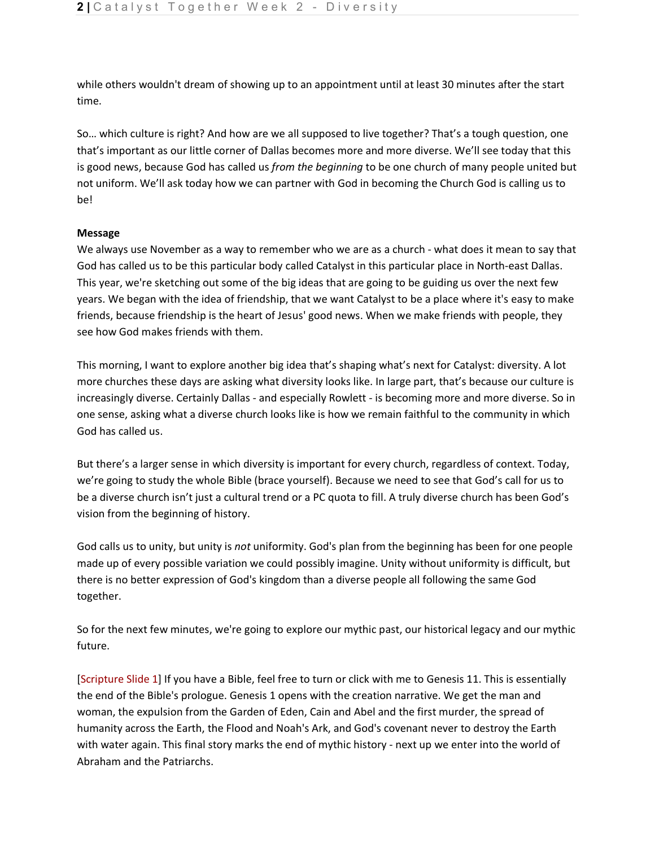while others wouldn't dream of showing up to an appointment until at least 30 minutes after the start time.

So… which culture is right? And how are we all supposed to live together? That's a tough question, one that's important as our little corner of Dallas becomes more and more diverse. We'll see today that this is good news, because God has called us *from the beginning* to be one church of many people united but not uniform. We'll ask today how we can partner with God in becoming the Church God is calling us to be!

## **Message**

We always use November as a way to remember who we are as a church - what does it mean to say that God has called us to be this particular body called Catalyst in this particular place in North-east Dallas. This year, we're sketching out some of the big ideas that are going to be guiding us over the next few years. We began with the idea of friendship, that we want Catalyst to be a place where it's easy to make friends, because friendship is the heart of Jesus' good news. When we make friends with people, they see how God makes friends with them.

This morning, I want to explore another big idea that's shaping what's next for Catalyst: diversity. A lot more churches these days are asking what diversity looks like. In large part, that's because our culture is increasingly diverse. Certainly Dallas - and especially Rowlett - is becoming more and more diverse. So in one sense, asking what a diverse church looks like is how we remain faithful to the community in which God has called us.

But there's a larger sense in which diversity is important for every church, regardless of context. Today, we're going to study the whole Bible (brace yourself). Because we need to see that God's call for us to be a diverse church isn't just a cultural trend or a PC quota to fill. A truly diverse church has been God's vision from the beginning of history.

God calls us to unity, but unity is *not* uniformity. God's plan from the beginning has been for one people made up of every possible variation we could possibly imagine. Unity without uniformity is difficult, but there is no better expression of God's kingdom than a diverse people all following the same God together.

So for the next few minutes, we're going to explore our mythic past, our historical legacy and our mythic future.

[Scripture Slide 1] If you have a Bible, feel free to turn or click with me to Genesis 11. This is essentially the end of the Bible's prologue. Genesis 1 opens with the creation narrative. We get the man and woman, the expulsion from the Garden of Eden, Cain and Abel and the first murder, the spread of humanity across the Earth, the Flood and Noah's Ark, and God's covenant never to destroy the Earth with water again. This final story marks the end of mythic history - next up we enter into the world of Abraham and the Patriarchs.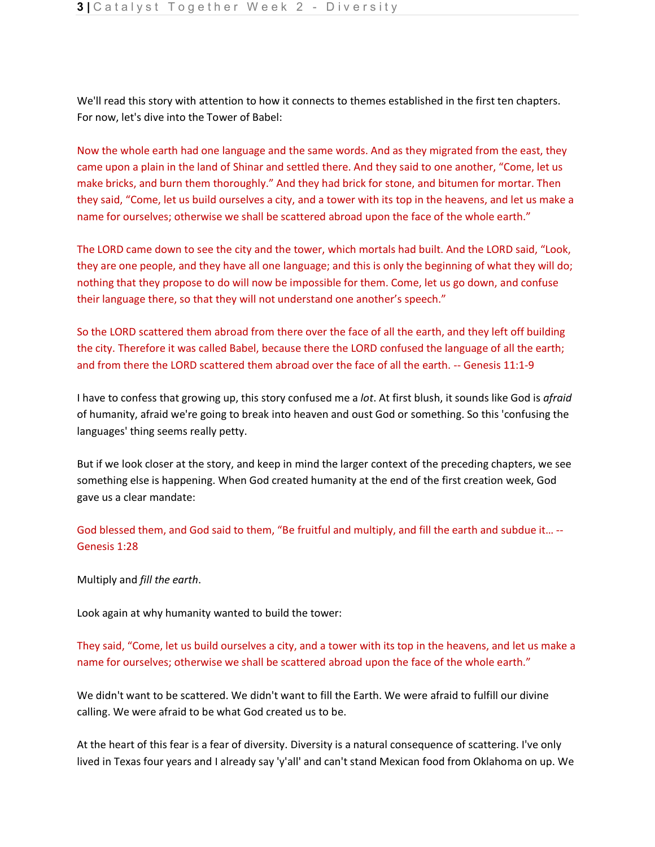We'll read this story with attention to how it connects to themes established in the first ten chapters. For now, let's dive into the Tower of Babel:

Now the whole earth had one language and the same words. And as they migrated from the east, they came upon a plain in the land of Shinar and settled there. And they said to one another, "Come, let us make bricks, and burn them thoroughly." And they had brick for stone, and bitumen for mortar. Then they said, "Come, let us build ourselves a city, and a tower with its top in the heavens, and let us make a name for ourselves; otherwise we shall be scattered abroad upon the face of the whole earth."

The LORD came down to see the city and the tower, which mortals had built. And the LORD said, "Look, they are one people, and they have all one language; and this is only the beginning of what they will do; nothing that they propose to do will now be impossible for them. Come, let us go down, and confuse their language there, so that they will not understand one another's speech."

So the LORD scattered them abroad from there over the face of all the earth, and they left off building the city. Therefore it was called Babel, because there the LORD confused the language of all the earth; and from there the LORD scattered them abroad over the face of all the earth. -- Genesis 11:1-9

I have to confess that growing up, this story confused me a *lot*. At first blush, it sounds like God is *afraid*  of humanity, afraid we're going to break into heaven and oust God or something. So this 'confusing the languages' thing seems really petty.

But if we look closer at the story, and keep in mind the larger context of the preceding chapters, we see something else is happening. When God created humanity at the end of the first creation week, God gave us a clear mandate:

God blessed them, and God said to them, "Be fruitful and multiply, and fill the earth and subdue it… -- Genesis 1:28

Multiply and *fill the earth*.

Look again at why humanity wanted to build the tower:

They said, "Come, let us build ourselves a city, and a tower with its top in the heavens, and let us make a name for ourselves; otherwise we shall be scattered abroad upon the face of the whole earth."

We didn't want to be scattered. We didn't want to fill the Earth. We were afraid to fulfill our divine calling. We were afraid to be what God created us to be.

At the heart of this fear is a fear of diversity. Diversity is a natural consequence of scattering. I've only lived in Texas four years and I already say 'y'all' and can't stand Mexican food from Oklahoma on up. We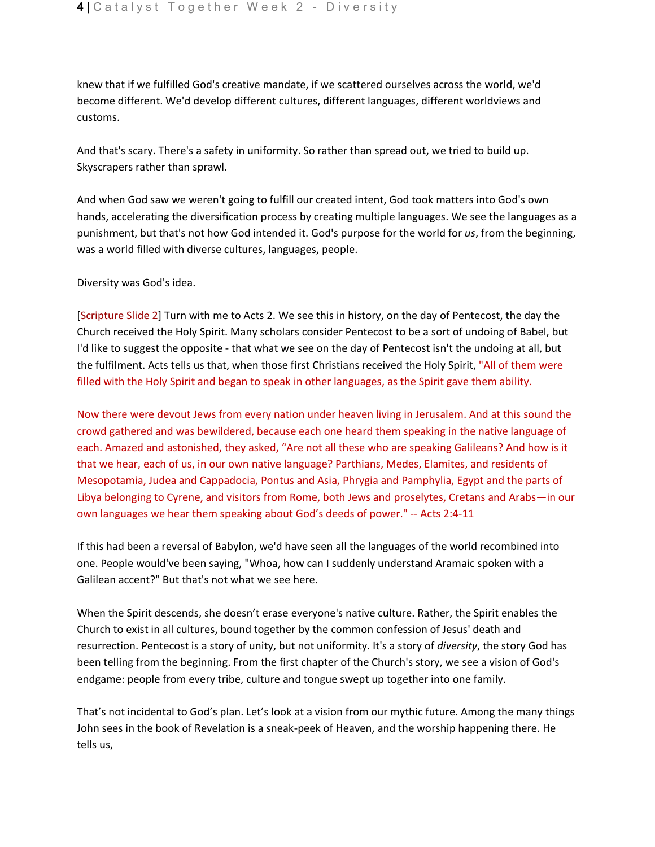knew that if we fulfilled God's creative mandate, if we scattered ourselves across the world, we'd become different. We'd develop different cultures, different languages, different worldviews and customs.

And that's scary. There's a safety in uniformity. So rather than spread out, we tried to build up. Skyscrapers rather than sprawl.

And when God saw we weren't going to fulfill our created intent, God took matters into God's own hands, accelerating the diversification process by creating multiple languages. We see the languages as a punishment, but that's not how God intended it. God's purpose for the world for *us*, from the beginning, was a world filled with diverse cultures, languages, people.

Diversity was God's idea.

[Scripture Slide 2] Turn with me to Acts 2. We see this in history, on the day of Pentecost, the day the Church received the Holy Spirit. Many scholars consider Pentecost to be a sort of undoing of Babel, but I'd like to suggest the opposite - that what we see on the day of Pentecost isn't the undoing at all, but the fulfilment. Acts tells us that, when those first Christians received the Holy Spirit, "All of them were filled with the Holy Spirit and began to speak in other languages, as the Spirit gave them ability.

Now there were devout Jews from every nation under heaven living in Jerusalem. And at this sound the crowd gathered and was bewildered, because each one heard them speaking in the native language of each. Amazed and astonished, they asked, "Are not all these who are speaking Galileans? And how is it that we hear, each of us, in our own native language? Parthians, Medes, Elamites, and residents of Mesopotamia, Judea and Cappadocia, Pontus and Asia, Phrygia and Pamphylia, Egypt and the parts of Libya belonging to Cyrene, and visitors from Rome, both Jews and proselytes, Cretans and Arabs—in our own languages we hear them speaking about God's deeds of power." -- Acts 2:4-11

If this had been a reversal of Babylon, we'd have seen all the languages of the world recombined into one. People would've been saying, "Whoa, how can I suddenly understand Aramaic spoken with a Galilean accent?" But that's not what we see here.

When the Spirit descends, she doesn't erase everyone's native culture. Rather, the Spirit enables the Church to exist in all cultures, bound together by the common confession of Jesus' death and resurrection. Pentecost is a story of unity, but not uniformity. It's a story of *diversity*, the story God has been telling from the beginning. From the first chapter of the Church's story, we see a vision of God's endgame: people from every tribe, culture and tongue swept up together into one family.

That's not incidental to God's plan. Let's look at a vision from our mythic future. Among the many things John sees in the book of Revelation is a sneak-peek of Heaven, and the worship happening there. He tells us,